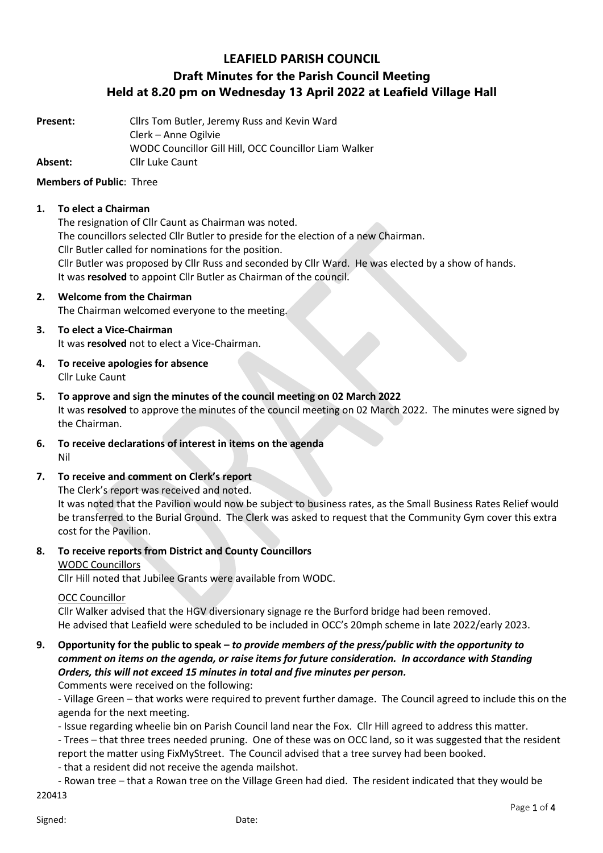# **LEAFIELD PARISH COUNCIL**

# **Draft Minutes for the Parish Council Meeting Held at 8.20 pm on Wednesday 13 April 2022 at Leafield Village Hall**

**Present:** Cllrs Tom Butler, Jeremy Russ and Kevin Ward Clerk – Anne Ogilvie WODC Councillor Gill Hill, OCC Councillor Liam Walker **Absent:** Cllr Luke Caunt

## **Members of Public**: Three

## **1. To elect a Chairman**

The resignation of Cllr Caunt as Chairman was noted. The councillors selected Cllr Butler to preside for the election of a new Chairman. Cllr Butler called for nominations for the position. Cllr Butler was proposed by Cllr Russ and seconded by Cllr Ward. He was elected by a show of hands. It was **resolved** to appoint Cllr Butler as Chairman of the council.

### **2. Welcome from the Chairman**

The Chairman welcomed everyone to the meeting.

## **3. To elect a Vice-Chairman**

It was **resolved** not to elect a Vice-Chairman.

- **4. To receive apologies for absence** Cllr Luke Caunt
- **5. To approve and sign the minutes of the council meeting on 02 March 2022** It was **resolved** to approve the minutes of the council meeting on 02 March 2022. The minutes were signed by the Chairman.
- **6. To receive declarations of interest in items on the agenda** Nil

## **7. To receive and comment on Clerk's report**

The Clerk's report was received and noted.

It was noted that the Pavilion would now be subject to business rates, as the Small Business Rates Relief would be transferred to the Burial Ground. The Clerk was asked to request that the Community Gym cover this extra cost for the Pavilion.

## **8. To receive reports from District and County Councillors**

#### WODC Councillors

Cllr Hill noted that Jubilee Grants were available from WODC.

#### OCC Councillor

Cllr Walker advised that the HGV diversionary signage re the Burford bridge had been removed. He advised that Leafield were scheduled to be included in OCC's 20mph scheme in late 2022/early 2023.

#### **9. Opportunity for the public to speak –** *to provide members of the press/public with the opportunity to comment on items on the agenda, or raise items for future consideration. In accordance with Standing Orders, this will not exceed 15 minutes in total and five minutes per person.* Comments were received on the following:

- Village Green – that works were required to prevent further damage. The Council agreed to include this on the agenda for the next meeting.

- Issue regarding wheelie bin on Parish Council land near the Fox. Cllr Hill agreed to address this matter.

- Trees – that three trees needed pruning. One of these was on OCC land, so it was suggested that the resident report the matter using FixMyStreet. The Council advised that a tree survey had been booked.

- that a resident did not receive the agenda mailshot.

220413 - Rowan tree – that a Rowan tree on the Village Green had died. The resident indicated that they would be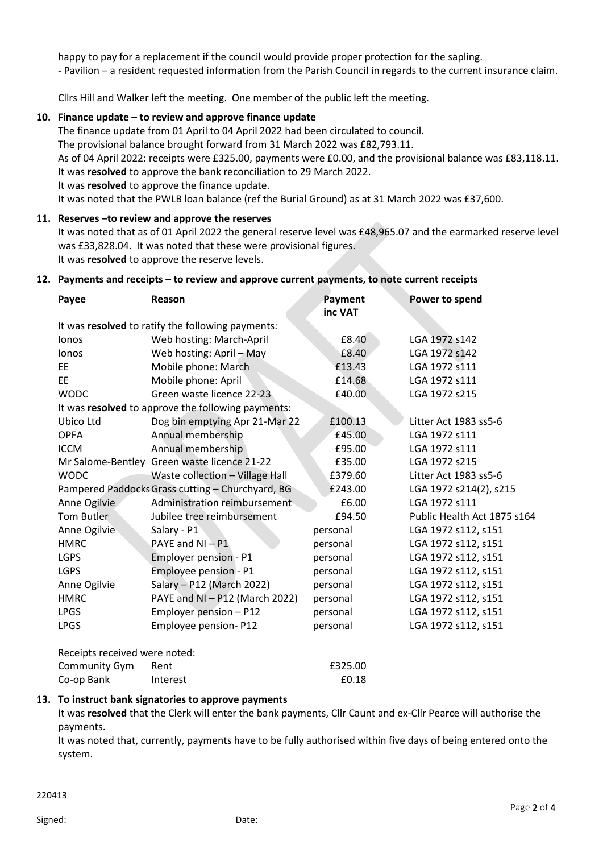happy to pay for a replacement if the council would provide proper protection for the sapling. - Pavilion – a resident requested information from the Parish Council in regards to the current insurance claim.

Cllrs Hill and Walker left the meeting. One member of the public left the meeting.

## **10. Finance update – to review and approve finance update**

The finance update from 01 April to 04 April 2022 had been circulated to council.

The provisional balance brought forward from 31 March 2022 was £82,793.11.

As of 04 April 2022: receipts were £325.00, payments were £0.00, and the provisional balance was £83,118.11. It was **resolved** to approve the bank reconciliation to 29 March 2022.

It was **resolved** to approve the finance update.

It was noted that the PWLB loan balance (ref the Burial Ground) as at 31 March 2022 was £37,600.

#### **11. Reserves –to review and approve the reserves**

It was noted that as of 01 April 2022 the general reserve level was £48,965.07 and the earmarked reserve level was £33,828.04. It was noted that these were provisional figures. It was **resolved** to approve the reserve levels.

#### **12. Payments and receipts – to review and approve current payments, to note current receipts**

| Payee                                              | Reason                                           | Payment<br>inc VAT | Power to spend              |
|----------------------------------------------------|--------------------------------------------------|--------------------|-----------------------------|
| It was resolved to ratify the following payments:  |                                                  |                    |                             |
| lonos                                              | Web hosting: March-April                         | £8.40              | LGA 1972 s142               |
| lonos                                              | Web hosting: April - May                         | £8.40              | LGA 1972 s142               |
| EE                                                 | Mobile phone: March                              | £13.43             | LGA 1972 s111               |
| EE                                                 | Mobile phone: April                              | £14.68             | LGA 1972 s111               |
| <b>WODC</b>                                        | Green waste licence 22-23                        | £40.00             | LGA 1972 s215               |
| It was resolved to approve the following payments: |                                                  |                    |                             |
| Ubico Ltd                                          | Dog bin emptying Apr 21-Mar 22                   | £100.13            | Litter Act 1983 ss5-6       |
| <b>OPFA</b>                                        | Annual membership                                | £45.00             | LGA 1972 s111               |
| <b>ICCM</b>                                        | Annual membership                                | £95.00             | LGA 1972 s111               |
|                                                    | Mr Salome-Bentley Green waste licence 21-22      | £35.00             | LGA 1972 s215               |
| <b>WODC</b>                                        | Waste collection - Village Hall                  | £379.60            | Litter Act 1983 ss5-6       |
|                                                    | Pampered Paddocks Grass cutting - Churchyard, BG | £243.00            | LGA 1972 s214(2), s215      |
| Anne Ogilvie                                       | Administration reimbursement                     | £6.00              | LGA 1972 s111               |
| <b>Tom Butler</b>                                  | Jubilee tree reimbursement                       | £94.50             | Public Health Act 1875 s164 |
| Anne Ogilvie                                       | Salary - P1                                      | personal           | LGA 1972 s112, s151         |
| <b>HMRC</b>                                        | PAYE and $NI - P1$                               | personal           | LGA 1972 s112, s151         |
| <b>LGPS</b>                                        | Employer pension - P1                            | personal           | LGA 1972 s112, s151         |
| <b>LGPS</b>                                        | Employee pension - P1                            | personal           | LGA 1972 s112, s151         |
| Anne Ogilvie                                       | Salary - P12 (March 2022)                        | personal           | LGA 1972 s112, s151         |
| <b>HMRC</b>                                        | PAYE and NI - P12 (March 2022)                   | personal           | LGA 1972 s112, s151         |
| <b>LPGS</b>                                        | Employer pension - P12                           | personal           | LGA 1972 s112, s151         |
| <b>LPGS</b>                                        | Employee pension-P12                             | personal           | LGA 1972 s112, s151         |
| Receints received were noted.                      |                                                  |                    |                             |

Receipts received were noted: Community Gym Rent **E325.00** Co-op Bank Interest E0.18

#### **13. To instruct bank signatories to approve payments**

It was **resolved** that the Clerk will enter the bank payments, Cllr Caunt and ex-Cllr Pearce will authorise the payments.

It was noted that, currently, payments have to be fully authorised within five days of being entered onto the system.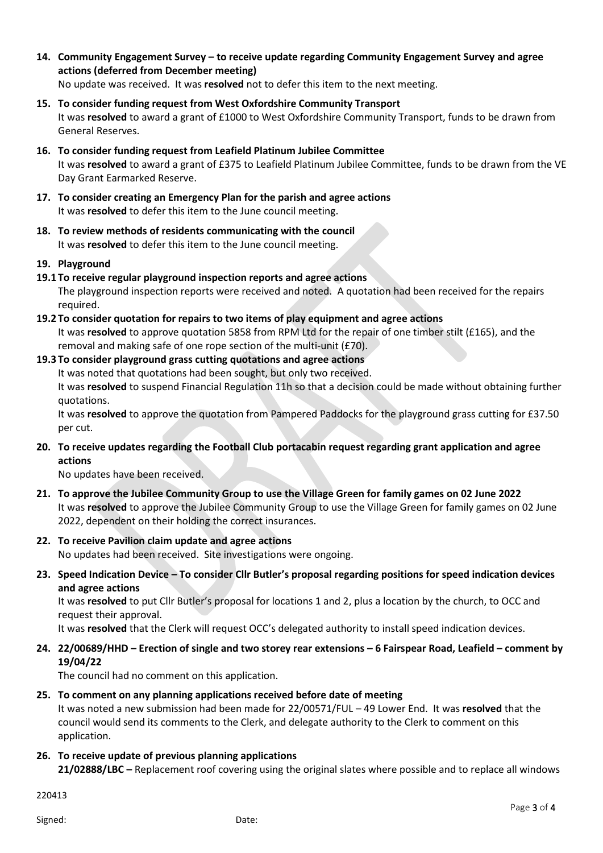- **14. Community Engagement Survey – to receive update regarding Community Engagement Survey and agree actions (deferred from December meeting)** No update was received. It was **resolved** not to defer this item to the next meeting.
- **15. To consider funding request from West Oxfordshire Community Transport** It was **resolved** to award a grant of £1000 to West Oxfordshire Community Transport, funds to be drawn from General Reserves.
- **16. To consider funding request from Leafield Platinum Jubilee Committee** It was **resolved** to award a grant of £375 to Leafield Platinum Jubilee Committee, funds to be drawn from the VE Day Grant Earmarked Reserve.
- **17. To consider creating an Emergency Plan for the parish and agree actions** It was **resolved** to defer this item to the June council meeting.
- **18. To review methods of residents communicating with the council** It was **resolved** to defer this item to the June council meeting.

## **19. Playground**

**19.1 To receive regular playground inspection reports and agree actions**

The playground inspection reports were received and noted. A quotation had been received for the repairs required.

**19.2 To consider quotation for repairs to two items of play equipment and agree actions**

It was **resolved** to approve quotation 5858 from RPM Ltd for the repair of one timber stilt (£165), and the removal and making safe of one rope section of the multi-unit (£70).

**19.3 To consider playground grass cutting quotations and agree actions**

It was noted that quotations had been sought, but only two received.

It was **resolved** to suspend Financial Regulation 11h so that a decision could be made without obtaining further quotations.

It was **resolved** to approve the quotation from Pampered Paddocks for the playground grass cutting for £37.50 per cut.

**20. To receive updates regarding the Football Club portacabin request regarding grant application and agree actions**

No updates have been received.

- **21. To approve the Jubilee Community Group to use the Village Green for family games on 02 June 2022** It was **resolved** to approve the Jubilee Community Group to use the Village Green for family games on 02 June 2022, dependent on their holding the correct insurances.
- **22. To receive Pavilion claim update and agree actions** No updates had been received. Site investigations were ongoing.
- **23. Speed Indication Device – To consider Cllr Butler's proposal regarding positions for speed indication devices and agree actions**

It was **resolved** to put Cllr Butler's proposal for locations 1 and 2, plus a location by the church, to OCC and request their approval.

It was **resolved** that the Clerk will request OCC's delegated authority to install speed indication devices.

**24. 22/00689/HHD – Erection of single and two storey rear extensions – 6 Fairspear Road, Leafield – comment by 19/04/22**

The council had no comment on this application.

**25. To comment on any planning applications received before date of meeting**

It was noted a new submission had been made for 22/00571/FUL – 49 Lower End. It was **resolved** that the council would send its comments to the Clerk, and delegate authority to the Clerk to comment on this application.

## **26. To receive update of previous planning applications**

**21/02888/LBC –** Replacement roof covering using the original slates where possible and to replace all windows

220413